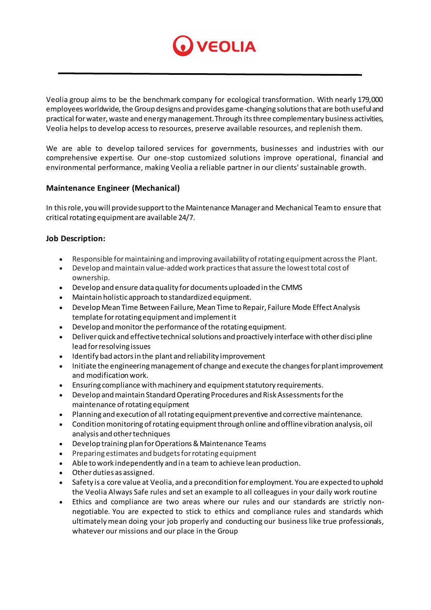

Veolia group aims to be the benchmark company for ecological transformation. With nearly 179,000 employees worldwide, the Group designs and provides game-changing solutions that are both useful and practical for water, waste and energy management. Through its three complementary business activities, Veolia helps to develop access to resources, preserve available resources, and replenish them.

We are able to develop tailored services for governments, businesses and industries with our comprehensive expertise. Our one-stop customized solutions improve operational, financial and environmental performance, making Veolia a reliable partner in our clients' sustainable growth.

## **Maintenance Engineer (Mechanical)**

In this role, you will provide support to the Maintenance Manager and Mechanical Team to ensure that critical rotating equipment are available 24/7.

## **Job Description:**

- Responsible for maintaining and improving availability of rotating equipment across the Plant.
- Develop and maintain value-added work practices that assure the lowest total cost of ownership.
- Develop and ensure data quality for documents uploaded in the CMMS
- Maintain holistic approach to standardized equipment.
- Develop Mean Time Between Failure, Mean Time to Repair, Failure Mode Effect Analysis template for rotating equipment and implement it
- Develop and monitor the performance of the rotating equipment.
- Deliver quick and effective technical solutions and proactively interface with other disci pline lead for resolving issues
- Identify bad actors in the plant and reliability improvement
- Initiate the engineering management of change and execute the changes for plant improvement and modification work.
- Ensuring compliance with machinery and equipment statutory requirements.
- Develop and maintain Standard Operating Procedures and Risk Assessments for the maintenance of rotating equipment
- Planning and execution of all rotating equipment preventive and corrective maintenance.
- Condition monitoring of rotating equipment through online and offline vibration analysis, oil analysis and other techniques
- Develop training plan for Operations & Maintenance Teams
- Preparing estimates and budgets for rotating equipment
- Able to work independently and in a team to achieve lean production.
- Other duties as assigned.
- Safety is a core value at Veolia, and a precondition for employment. You are expected to uphold the Veolia Always Safe rules and set an example to all colleagues in your daily work routine
- Ethics and compliance are two areas where our rules and our standards are strictly nonnegotiable. You are expected to stick to ethics and compliance rules and standards which ultimately mean doing your job properly and conducting our business like true professionals, whatever our missions and our place in the Group